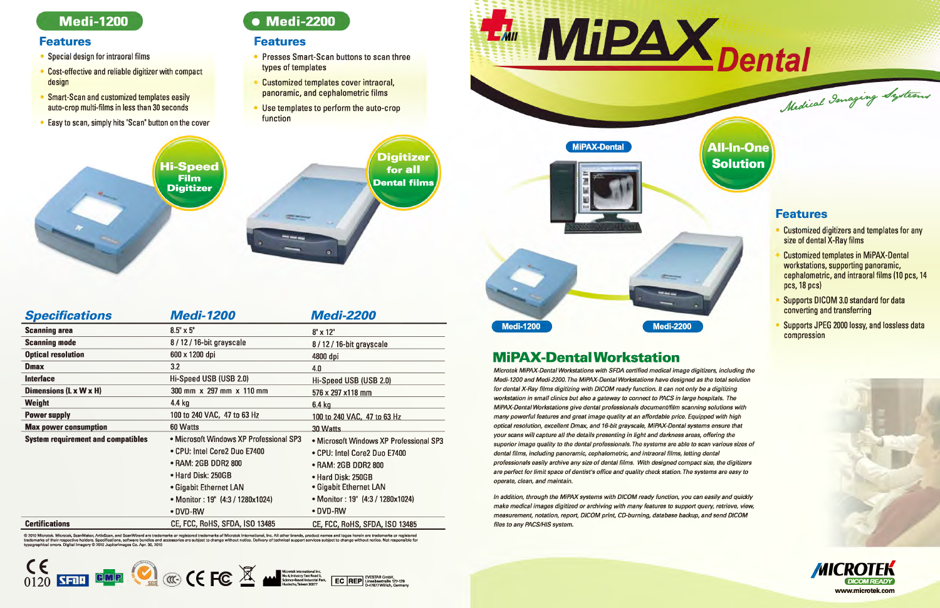#### Medi-1200

#### **Features**

- Special design for intraoral films
- Cost-effective and reliable digitizer with compact design
- Smart-Scan and customized templates easily auto-crop multi-films in less than 30 seconds
- Easy to scan, simply hits "Scan" button on the cover

### • Medi-2200

#### **Features**

- Presses Smart-Scan buttons to scan three types of templates
- Customized templates cover intraoral, panoramic, and cephalometric films
- Use templates to perform the auto-crop function



| <b>Specifications</b>                     | <b>Medi-1200</b>                        | <b>Medi-2200</b>                        |
|-------------------------------------------|-----------------------------------------|-----------------------------------------|
| <b>Scanning area</b>                      | $8.5" \times 5"$                        | $8'' \times 12''$                       |
| <b>Scanning mode</b>                      | 8 / 12 / 16-bit grayscale               | 8/12/16-bit grayscale                   |
| <b>Optical resolution</b>                 | 600 x 1200 dpi                          | 4800 dpi                                |
| <b>Dmax</b>                               | 3.2                                     | 4.0                                     |
| <b>Interface</b>                          | Hi-Speed USB (USB 2.0)                  | Hi-Speed USB (USB 2.0)                  |
| Dimensions (L x W x H)                    | 300 mm x 297 mm x 110 mm                | 576 x 297 x118 mm                       |
| Weight                                    | 4.4 $kg$                                | $6.4$ kg                                |
| <b>Power supply</b>                       | 100 to 240 VAC, 47 to 63 Hz             | 100 to 240 VAC, 47 to 63 Hz             |
| <b>Max power consumption</b>              | 60 Watts                                | 30 Watts                                |
| <b>System requirement and compatibles</b> | • Microsoft Windows XP Professional SP3 | • Microsoft Windows XP Professional SP3 |
|                                           | • CPU: Intel Core2 Duo E7400            | • CPU: Intel Core2 Duo E7400            |
|                                           | • RAM: 2GB DDR2 800                     | • RAM: 2GB DDR2 800                     |
|                                           | • Hard Disk: 250GB                      | • Hard Disk: 250GB                      |
|                                           | • Gigabit Ethernet LAN                  | • Gigabit Ethernet LAN                  |
|                                           | • Monitor: 19" (4:3 / 1280x1024)        | • Monitor: 19" (4:3 / 1280x1024)        |
|                                           | • DVD-RW                                | • DVD-RW                                |
| <b>Certifications</b>                     | CE, FCC, RoHS, SFDA, ISO 13485          | CE, FCC, RoHS, SFDA, ISO 13485          |

© 2010 Microtek. Microtek, ScanMaker, ArtixScan, and ScanWizard are trademarks or registered trademarks of Microtek International, Inc. All other brands, product names and logos herein are trademarks or registered<br>tradema





| Hi-Speed<br>Film<br>Digitizer |                          | Digitizer<br>for all<br><b>Dental films</b> |
|-------------------------------|--------------------------|---------------------------------------------|
|                               | <b>Call</b><br>$\bullet$ |                                             |

Medi-2200

*In addition, through the MiPAX systems with DICOM ready function, you can easily and quickly make medical images digitized or archiving with many features to support query, retrieve, view,* measurement, notation, report, DICOM print, CD-burning, database backup, and send DICOM *files to any PACS/HIS system.* 



**All-In-One** 

**Solution** 

#### **Features**

**Customized digitizers and templates for any** size of dental X-Ray films

Medical Imaging Systems

- **Customized templates in MiPAX-Dental** workstations, supporting panoramic, cephalometric, and intraoral films (10 pcs, 14  $pcs, 18 pcs$
- Supports DICOM 3.0 standard for data converting and transferring
- Supports JPEG 2000 lossy, and lossless data compression

### MiPAX-Dental Workstation

**Medi-1200** 

*Microtek MiPAX-Dental Workstations with SFDA certified medical image digitizers, including the Medi-1200* and *Medi-2200. The MiPAX-Dental Workstations have designed as the total solution* for *dentsl X-Ray films digitizing with* D/COM *f8IIdy function. It CIIn* not *only* be a *digitizing workstation in small clinics but also a gateway to connect to PACS in large hospitals. The MiPAX-Dental Workstations give dental professionals document/film scanning solutions with many* powerful features and great image quality at an affordable price. Equipped with high *optical resolution, excellent Dmax, and 16-bit grayscale, MiPAX-Dental systems ensure that your scans will capture all the details presenting in light and darkness areas, offering the* superior image quality to the dental professionals. The systems are able to scan various sizes of *dental films, including panoramic, cephalometric, and intraoral films, letting dental professionals Naily an:hive any Bi2B* of *dentIIl films. With dtlsigned comptlCt Bi2B,* the *digitizsrs*  $a$ re perfect for limit space of dentist's office and quality check station. The systems are easy to operate, clean, and maintain.